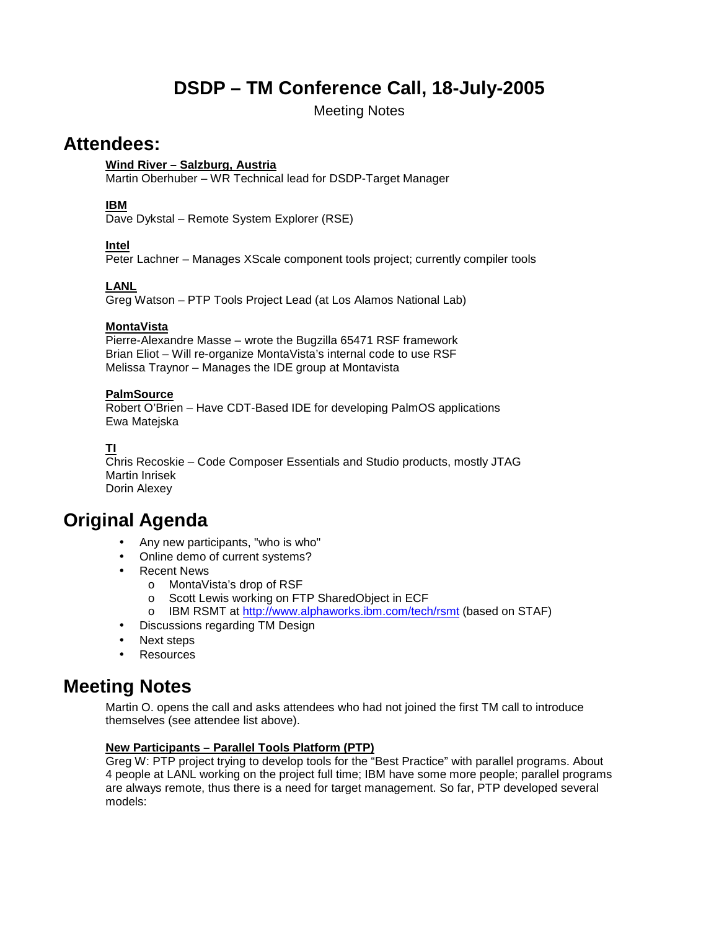# **DSDP – TM Conference Call, 18-July-2005**

Meeting Notes

## **Attendees:**

## **Wind River – Salzburg, Austria**

Martin Oberhuber – WR Technical lead for DSDP-Target Manager

## **IBM**

Dave Dykstal – Remote System Explorer (RSE)

## **Intel**

Peter Lachner – Manages XScale component tools project; currently compiler tools

## **LANL**

Greg Watson – PTP Tools Project Lead (at Los Alamos National Lab)

## **MontaVista**

Pierre-Alexandre Masse – wrote the Bugzilla 65471 RSF framework Brian Eliot – Will re-organize MontaVista's internal code to use RSF Melissa Traynor – Manages the IDE group at Montavista

## **PalmSource**

Robert O'Brien – Have CDT-Based IDE for developing PalmOS applications Ewa Matejska

## **TI**

Chris Recoskie – Code Composer Essentials and Studio products, mostly JTAG Martin Inrisek Dorin Alexey

## **Original Agenda**

- Any new participants, "who is who"
- Online demo of current systems?
- Recent News
	- o MontaVista's drop of RSF
	- o Scott Lewis working on FTP SharedObject in ECF
	- o IBM RSMT at http://www.alphaworks.ibm.com/tech/rsmt (based on STAF)
- Discussions regarding TM Design
- Next steps
- **Resources**

## **Meeting Notes**

Martin O. opens the call and asks attendees who had not joined the first TM call to introduce themselves (see attendee list above).

#### **New Participants – Parallel Tools Platform (PTP)**

Greg W: PTP project trying to develop tools for the "Best Practice" with parallel programs. About 4 people at LANL working on the project full time; IBM have some more people; parallel programs are always remote, thus there is a need for target management. So far, PTP developed several models: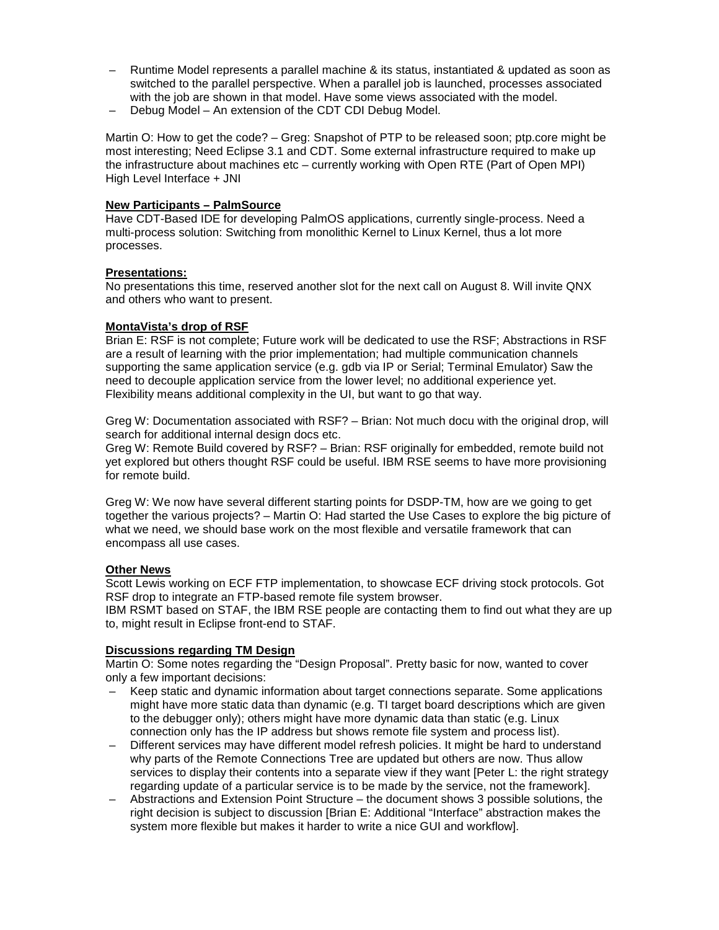- Runtime Model represents a parallel machine & its status, instantiated & updated as soon as switched to the parallel perspective. When a parallel job is launched, processes associated with the job are shown in that model. Have some views associated with the model.
- Debug Model An extension of the CDT CDI Debug Model.

Martin O: How to get the code? – Greg: Snapshot of PTP to be released soon; ptp.core might be most interesting; Need Eclipse 3.1 and CDT. Some external infrastructure required to make up the infrastructure about machines etc – currently working with Open RTE (Part of Open MPI) High Level Interface + JNI

#### **New Participants – PalmSource**

Have CDT-Based IDE for developing PalmOS applications, currently single-process. Need a multi-process solution: Switching from monolithic Kernel to Linux Kernel, thus a lot more processes.

#### **Presentations:**

No presentations this time, reserved another slot for the next call on August 8. Will invite QNX and others who want to present.

#### **MontaVista's drop of RSF**

Brian E: RSF is not complete; Future work will be dedicated to use the RSF; Abstractions in RSF are a result of learning with the prior implementation; had multiple communication channels supporting the same application service (e.g. gdb via IP or Serial; Terminal Emulator) Saw the need to decouple application service from the lower level; no additional experience yet. Flexibility means additional complexity in the UI, but want to go that way.

Greg W: Documentation associated with RSF? – Brian: Not much docu with the original drop, will search for additional internal design docs etc.

Greg W: Remote Build covered by RSF? – Brian: RSF originally for embedded, remote build not yet explored but others thought RSF could be useful. IBM RSE seems to have more provisioning for remote build.

Greg W: We now have several different starting points for DSDP-TM, how are we going to get together the various projects? – Martin O: Had started the Use Cases to explore the big picture of what we need, we should base work on the most flexible and versatile framework that can encompass all use cases.

#### **Other News**

Scott Lewis working on ECF FTP implementation, to showcase ECF driving stock protocols. Got RSF drop to integrate an FTP-based remote file system browser.

IBM RSMT based on STAF, the IBM RSE people are contacting them to find out what they are up to, might result in Eclipse front-end to STAF.

#### **Discussions regarding TM Design**

Martin O: Some notes regarding the "Design Proposal". Pretty basic for now, wanted to cover only a few important decisions:

- Keep static and dynamic information about target connections separate. Some applications might have more static data than dynamic (e.g. TI target board descriptions which are given to the debugger only); others might have more dynamic data than static (e.g. Linux connection only has the IP address but shows remote file system and process list).
- Different services may have different model refresh policies. It might be hard to understand why parts of the Remote Connections Tree are updated but others are now. Thus allow services to display their contents into a separate view if they want [Peter L: the right strategy regarding update of a particular service is to be made by the service, not the framework].
- Abstractions and Extension Point Structure the document shows 3 possible solutions, the right decision is subject to discussion [Brian E: Additional "Interface" abstraction makes the system more flexible but makes it harder to write a nice GUI and workflow].